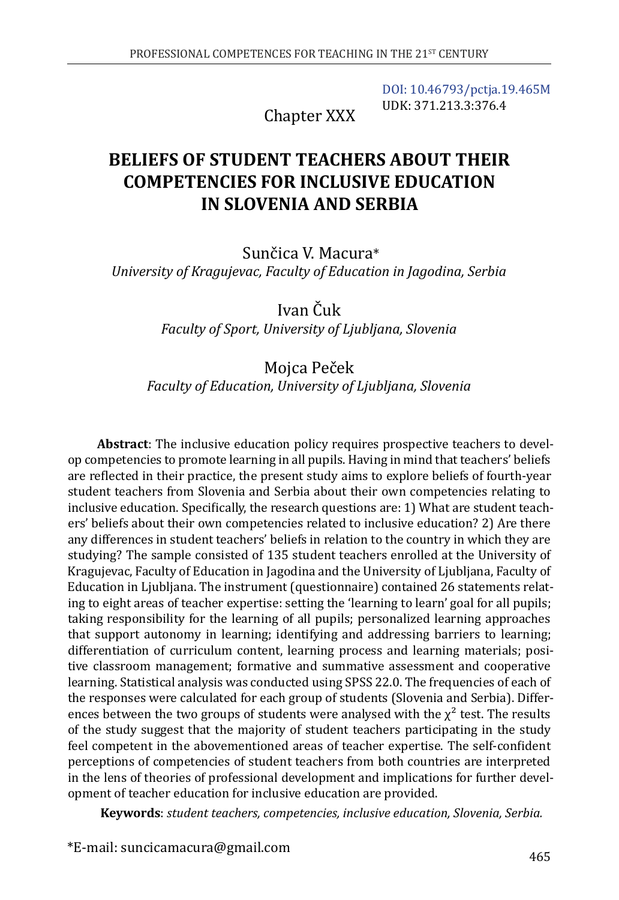[DOI: 10.46793/pctja.19.465M](https://doi.org/10.46793/pctja.19.465M) UDK: 371.213.3:376.4

Chapter XXX

# **BELIEFS OF STUDENT TEACHERS ABOUT THEIR COMPETENCIES FOR INCLUSIVE EDUCATION IN SLOVENIA AND SERBIA**

Sunčica V. Macura\* *University of Kragujevac, Faculty of Education in Jagodina, Serbia*

> Ivan Čuk *Faculty of Sport, University of Ljubljana, Slovenia*

### Mojca Peček *Faculty of Education, University of Ljubljana, Slovenia*

**Abstract**: The inclusive education policy requires prospective teachers to develop competencies to promote learning in all pupils. Having in mind that teachers' beliefs are reflected in their practice, the present study aims to explore beliefs of fourth-year student teachers from Slovenia and Serbia about their own competencies relating to inclusive education. Specifically, the research questions are: 1) What are student teachers' beliefs about their own competencies related to inclusive education? 2) Are there any differences in student teachers' beliefs in relation to the country in which they are studying? The sample consisted of 135 student teachers enrolled at the University of Kragujevac, Faculty of Education in Jagodina and the University of Ljubljana, Faculty of Education in Ljubljana. The instrument (questionnaire) contained 26 statements relating to eight areas of teacher expertise: setting the 'learning to learn' goal for all pupils; taking responsibility for the learning of all pupils; personalized learning approaches that support autonomy in learning; identifying and addressing barriers to learning; differentiation of curriculum content, learning process and learning materials; positive classroom management; formative and summative assessment and cooperative learning. Statistical analysis was conducted using SPSS 22.0. The frequencies of each of the responses were calculated for each group of students (Slovenia and Serbia). Differences between the two groups of students were analysed with the  $\chi^2$  test. The results of the study suggest that the majority of student teachers participating in the study feel competent in the abovementioned areas of teacher expertise. The self-confident perceptions of competencies of student teachers from both countries are interpreted in the lens of theories of professional development and implications for further development of teacher education for inclusive education are provided.

**Keywords**: *student teachers, competencies, inclusive education, Slovenia, Serbia.*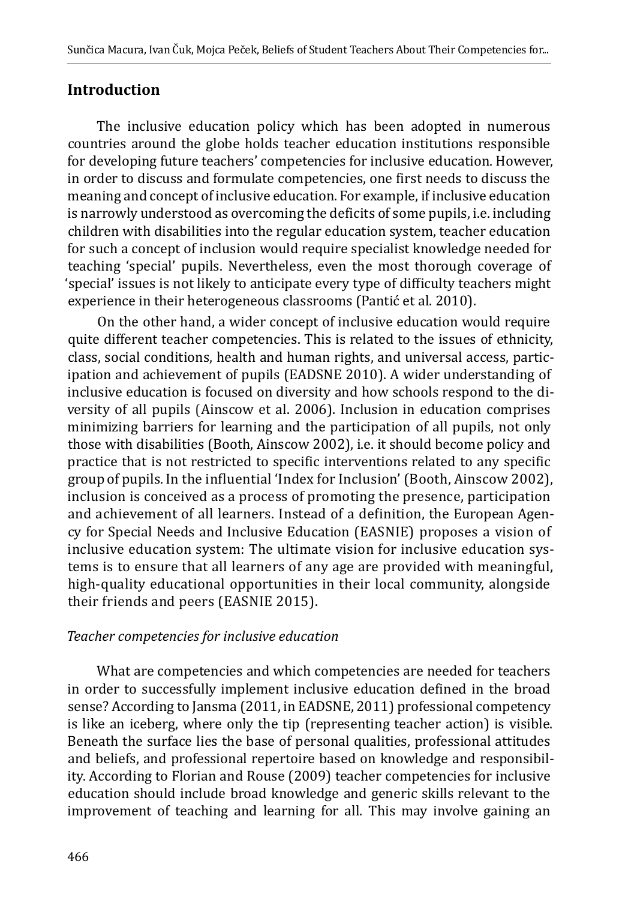### **Introduction**

The inclusive education policy which has been adopted in numerous countries around the globe holds teacher education institutions responsible for developing future teachers' competencies for inclusive education. However, in order to discuss and formulate competencies, one first needs to discuss the meaning and concept of inclusive education. For example, if inclusive education is narrowly understood as overcoming the deficits of some pupils, i.e. including children with disabilities into the regular education system, teacher education for such a concept of inclusion would require specialist knowledge needed for teaching 'special' pupils. Nevertheless, even the most thorough coverage of 'special' issues is not likely to anticipate every type of difficulty teachers might experience in their heterogeneous classrooms (Pantić et al. 2010).

On the other hand, a wider concept of inclusive education would require quite different teacher competencies. This is related to the issues of ethnicity, class, social conditions, health and human rights, and universal access, participation and achievement of pupils (EADSNE 2010). A wider understanding of inclusive education is focused on diversity and how schools respond to the diversity of all pupils (Ainscow et al. 2006). Inclusion in education comprises minimizing barriers for learning and the participation of all pupils, not only those with disabilities (Booth, Ainscow 2002), i.e. it should become policy and practice that is not restricted to specific interventions related to any specific group of pupils. In the influential 'Index for Inclusion' (Booth, Ainscow 2002), inclusion is conceived as a process of promoting the presence, participation and achievement of all learners. Instead of a definition, the European Agency for Special Needs and Inclusive Education (EASNIE) proposes a vision of inclusive education system: The ultimate vision for inclusive education systems is to ensure that all learners of any age are provided with meaningful, high-quality educational opportunities in their local community, alongside their friends and peers (EASNIE 2015).

#### *Teacher competencies for inclusive education*

What are competencies and which competencies are needed for teachers in order to successfully implement inclusive education defined in the broad sense? According to Jansma (2011, in EADSNE, 2011) professional competency is like an iceberg, where only the tip (representing teacher action) is visible. Beneath the surface lies the base of personal qualities, professional attitudes and beliefs, and professional repertoire based on knowledge and responsibility. According to Florian and Rouse (2009) teacher competencies for inclusive education should include broad knowledge and generic skills relevant to the improvement of teaching and learning for all. This may involve gaining an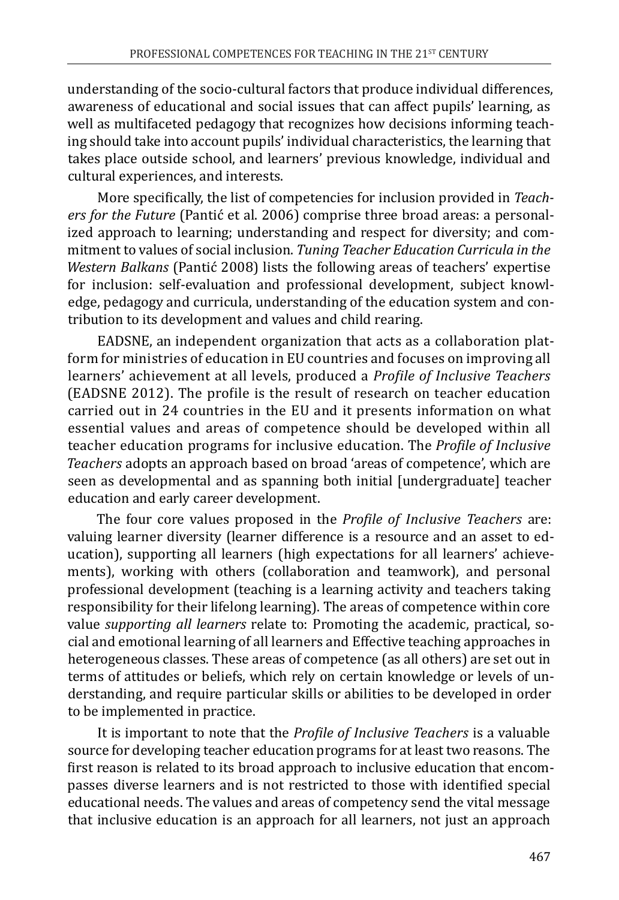understanding of the socio-cultural factors that produce individual differences, awareness of educational and social issues that can affect pupils' learning, as well as multifaceted pedagogy that recognizes how decisions informing teaching should take into account pupils' individual characteristics, the learning that takes place outside school, and learners' previous knowledge, individual and cultural experiences, and interests.

More specifically, the list of competencies for inclusion provided in *Teachers for the Future* (Pantić et al. 2006) comprise three broad areas: a personalized approach to learning; understanding and respect for diversity; and commitment to values of social inclusion. *Tuning Teacher Education Curricula in the Western Balkans* (Pantić 2008) lists the following areas of teachers' expertise for inclusion: self-evaluation and professional development, subject knowledge, pedagogy and curricula, understanding of the education system and contribution to its development and values and child rearing.

EADSNE, an independent organization that acts as a collaboration platform for ministries of education in EU countries and focuses on improving all learners' achievement at all levels, produced a *Profile of Inclusive Teachers* (EADSNE 2012). The profile is the result of research on teacher education carried out in 24 countries in the EU and it presents information on what essential values and areas of competence should be developed within all teacher education programs for inclusive education. The *Profile of Inclusive Teachers* adopts an approach based on broad 'areas of competence', which are seen as developmental and as spanning both initial [undergraduate] teacher education and early career development.

The four core values proposed in the *Profile of Inclusive Teachers* are: valuing learner diversity (learner difference is a resource and an asset to education), supporting all learners (high expectations for all learners' achievements), working with others (collaboration and teamwork), and personal professional development (teaching is a learning activity and teachers taking responsibility for their lifelong learning). The areas of competence within core value *supporting all learners* relate to: Promoting the academic, practical, social and emotional learning of all learners and Effective teaching approaches in heterogeneous classes. These areas of competence (as all others) are set out in terms of attitudes or beliefs, which rely on certain knowledge or levels of understanding, and require particular skills or abilities to be developed in order to be implemented in practice.

It is important to note that the *Profile of Inclusive Teachers* is a valuable source for developing teacher education programs for at least two reasons. The first reason is related to its broad approach to inclusive education that encompasses diverse learners and is not restricted to those with identified special educational needs. The values and areas of competency send the vital message that inclusive education is an approach for all learners, not just an approach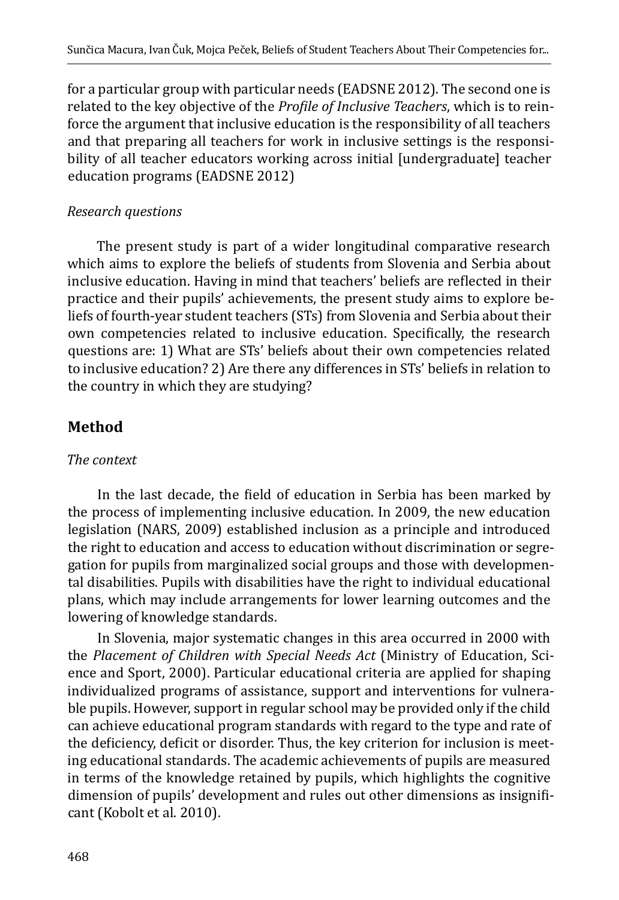for a particular group with particular needs (EADSNE 2012). The second one is related to the key objective of the *Profile of Inclusive Teachers*, which is to reinforce the argument that inclusive education is the responsibility of all teachers and that preparing all teachers for work in inclusive settings is the responsibility of all teacher educators working across initial [undergraduate] teacher education programs (EADSNE 2012)

#### *Research questions*

The present study is part of a wider longitudinal comparative research which aims to explore the beliefs of students from Slovenia and Serbia about inclusive education. Having in mind that teachers' beliefs are reflected in their practice and their pupils' achievements, the present study aims to explore beliefs of fourth-year student teachers (STs) from Slovenia and Serbia about their own competencies related to inclusive education. Specifically, the research questions are: 1) What are STs' beliefs about their own competencies related to inclusive education? 2) Are there any differences in STs' beliefs in relation to the country in which they are studying?

## **Method**

### *The context*

In the last decade, the field of education in Serbia has been marked by the process of implementing inclusive education. In 2009, the new education legislation (NARS, 2009) established inclusion as a principle and introduced the right to education and access to education without discrimination or segregation for pupils from marginalized social groups and those with developmental disabilities. Pupils with disabilities have the right to individual educational plans, which may include arrangements for lower learning outcomes and the lowering of knowledge standards.

In Slovenia, major systematic changes in this area occurred in 2000 with the *Placement of Children with Special Needs Act* (Ministry of Education, Science and Sport, 2000). Particular educational criteria are applied for shaping individualized programs of assistance, support and interventions for vulnerable pupils. However, support in regular school may be provided only if the child can achieve educational program standards with regard to the type and rate of the deficiency, deficit or disorder. Thus, the key criterion for inclusion is meeting educational standards. The academic achievements of pupils are measured in terms of the knowledge retained by pupils, which highlights the cognitive dimension of pupils' development and rules out other dimensions as insignificant (Kobolt et al. 2010).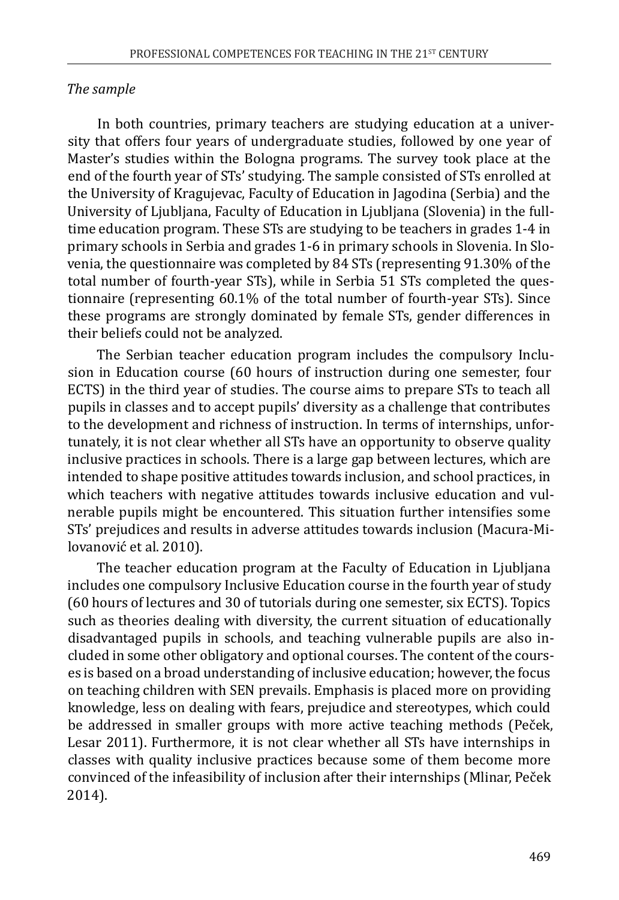#### *The sample*

In both countries, primary teachers are studying education at a university that offers four years of undergraduate studies, followed by one year of Master's studies within the Bologna programs. The survey took place at the end of the fourth year of STs' studying. The sample consisted of STs enrolled at the University of Kragujevac, Faculty of Education in Jagodina (Serbia) and the University of Ljubljana, Faculty of Education in Ljubljana (Slovenia) in the fulltime education program. These STs are studying to be teachers in grades 1-4 in primary schools in Serbia and grades 1-6 in primary schools in Slovenia. In Slovenia, the questionnaire was completed by 84 STs (representing 91.30% of the total number of fourth-year STs), while in Serbia 51 STs completed the questionnaire (representing 60.1% of the total number of fourth-year STs). Since these programs are strongly dominated by female STs, gender differences in their beliefs could not be analyzed.

The Serbian teacher education program includes the compulsory Inclusion in Education course (60 hours of instruction during one semester, four ECTS) in the third year of studies. The course aims to prepare STs to teach all pupils in classes and to accept pupils' diversity as a challenge that contributes to the development and richness of instruction. In terms of internships, unfortunately, it is not clear whether all STs have an opportunity to observe quality inclusive practices in schools. There is a large gap between lectures, which are intended to shape positive attitudes towards inclusion, and school practices, in which teachers with negative attitudes towards inclusive education and vulnerable pupils might be encountered. This situation further intensifies some STs' prejudices and results in adverse attitudes towards inclusion (Macura-Milovanović et al. 2010).

The teacher education program at the Faculty of Education in Ljubljana includes one compulsory Inclusive Education course in the fourth year of study (60 hours of lectures and 30 of tutorials during one semester, six ECTS). Topics such as theories dealing with diversity, the current situation of educationally disadvantaged pupils in schools, and teaching vulnerable pupils are also included in some other obligatory and optional courses. The content of the courses is based on a broad understanding of inclusive education; however, the focus on teaching children with SEN prevails. Emphasis is placed more on providing knowledge, less on dealing with fears, prejudice and stereotypes, which could be addressed in smaller groups with more active teaching methods (Peček, Lesar 2011). Furthermore, it is not clear whether all STs have internships in classes with quality inclusive practices because some of them become more convinced of the infeasibility of inclusion after their internships (Mlinar, Peček 2014).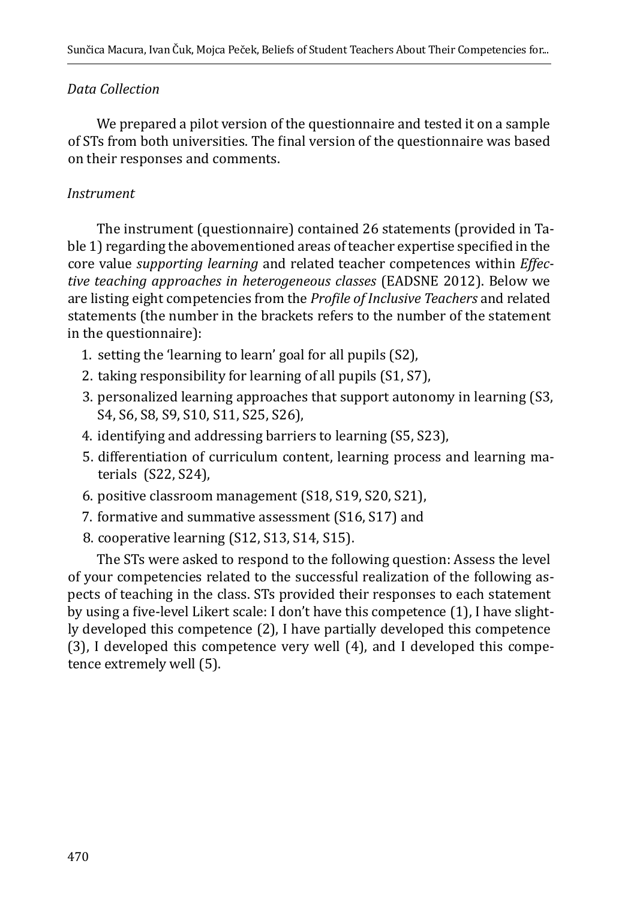#### *Data Collection*

We prepared a pilot version of the questionnaire and tested it on a sample of STs from both universities. The final version of the questionnaire was based on their responses and comments.

#### *Instrument*

The instrument (questionnaire) contained 26 statements (provided in Table 1) regarding the abovementioned areas of teacher expertise specified in the core value *supporting learning* and related teacher competences within *Effective teaching approaches in heterogeneous classes* (EADSNE 2012). Below we are listing eight competencies from the *Profile of Inclusive Teachers* and related statements (the number in the brackets refers to the number of the statement in the questionnaire):

- 1. setting the 'learning to learn' goal for all pupils (S2),
- 2. taking responsibility for learning of all pupils (S1, S7),
- 3. personalized learning approaches that support autonomy in learning (S3, S4, S6, S8, S9, S10, S11, S25, S26),
- 4. identifying and addressing barriers to learning (S5, S23),
- 5. differentiation of curriculum content, learning process and learning materials (S22, S24),
- 6. positive classroom management (S18, S19, S20, S21),
- 7. formative and summative assessment (S16, S17) and
- 8. cooperative learning (S12, S13, S14, S15).

The STs were asked to respond to the following question: Assess the level of your competencies related to the successful realization of the following aspects of teaching in the class. STs provided their responses to each statement by using a five-level Likert scale: I don't have this competence (1), I have slightly developed this competence (2), I have partially developed this competence (3), I developed this competence very well (4), and I developed this competence extremely well (5).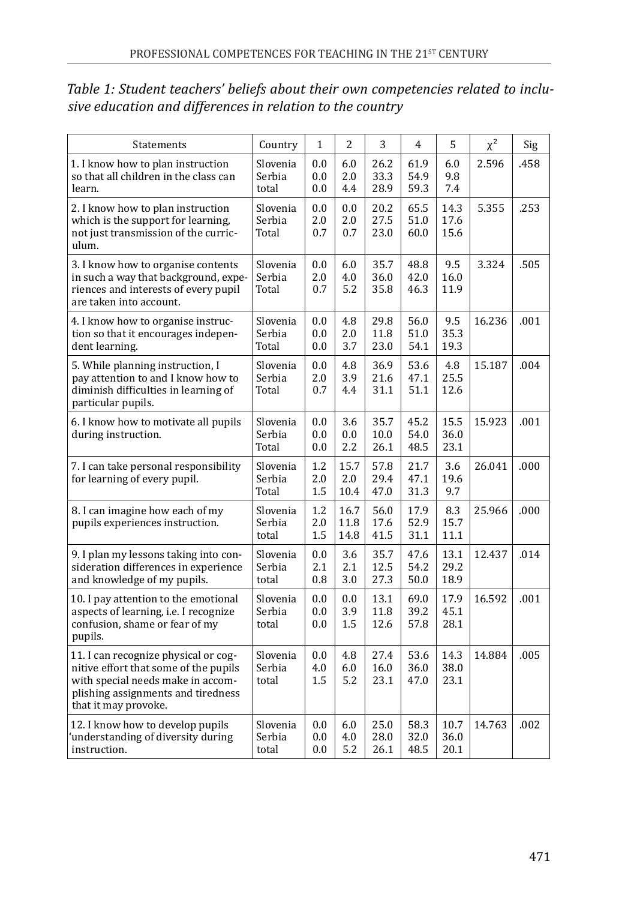| Statements                                                                                                                                                                       | Country                     | 1                 | 2                    | 3                    | 4                    | 5                    | $\chi^2$ | Sig  |
|----------------------------------------------------------------------------------------------------------------------------------------------------------------------------------|-----------------------------|-------------------|----------------------|----------------------|----------------------|----------------------|----------|------|
| 1. I know how to plan instruction<br>so that all children in the class can<br>learn.                                                                                             | Slovenia<br>Serbia<br>total | 0.0<br>0.0<br>0.0 | 6.0<br>2.0<br>4.4    | 26.2<br>33.3<br>28.9 | 61.9<br>54.9<br>59.3 | 6.0<br>9.8<br>7.4    | 2.596    | .458 |
| 2. I know how to plan instruction<br>which is the support for learning,<br>not just transmission of the curric-<br>ulum.                                                         | Slovenia<br>Serbia<br>Total | 0.0<br>2.0<br>0.7 | 0.0<br>2.0<br>0.7    | 20.2<br>27.5<br>23.0 | 65.5<br>51.0<br>60.0 | 14.3<br>17.6<br>15.6 | 5.355    | .253 |
| 3. I know how to organise contents<br>in such a way that background, expe-<br>riences and interests of every pupil<br>are taken into account.                                    | Slovenia<br>Serbia<br>Total | 0.0<br>2.0<br>0.7 | 6.0<br>4.0<br>5.2    | 35.7<br>36.0<br>35.8 | 48.8<br>42.0<br>46.3 | 9.5<br>16.0<br>11.9  | 3.324    | .505 |
| 4. I know how to organise instruc-<br>tion so that it encourages indepen-<br>dent learning.                                                                                      | Slovenia<br>Serbia<br>Total | 0.0<br>0.0<br>0.0 | 4.8<br>2.0<br>3.7    | 29.8<br>11.8<br>23.0 | 56.0<br>51.0<br>54.1 | 9.5<br>35.3<br>19.3  | 16.236   | .001 |
| 5. While planning instruction, I<br>pay attention to and I know how to<br>diminish difficulties in learning of<br>particular pupils.                                             | Slovenia<br>Serbia<br>Total | 0.0<br>2.0<br>0.7 | 4.8<br>3.9<br>4.4    | 36.9<br>21.6<br>31.1 | 53.6<br>47.1<br>51.1 | 4.8<br>25.5<br>12.6  | 15.187   | .004 |
| 6. I know how to motivate all pupils<br>during instruction.                                                                                                                      | Slovenia<br>Serbia<br>Total | 0.0<br>0.0<br>0.0 | 3.6<br>0.0<br>2.2    | 35.7<br>10.0<br>26.1 | 45.2<br>54.0<br>48.5 | 15.5<br>36.0<br>23.1 | 15.923   | .001 |
| 7. I can take personal responsibility<br>for learning of every pupil.                                                                                                            | Slovenia<br>Serbia<br>Total | 1.2<br>2.0<br>1.5 | 15.7<br>2.0<br>10.4  | 57.8<br>29.4<br>47.0 | 21.7<br>47.1<br>31.3 | 3.6<br>19.6<br>9.7   | 26.041   | .000 |
| 8. I can imagine how each of my<br>pupils experiences instruction.                                                                                                               | Slovenia<br>Serbia<br>total | 1.2<br>2.0<br>1.5 | 16.7<br>11.8<br>14.8 | 56.0<br>17.6<br>41.5 | 17.9<br>52.9<br>31.1 | 8.3<br>15.7<br>11.1  | 25.966   | .000 |
| 9. I plan my lessons taking into con-<br>sideration differences in experience<br>and knowledge of my pupils.                                                                     | Slovenia<br>Serbia<br>total | 0.0<br>2.1<br>0.8 | 3.6<br>2.1<br>3.0    | 35.7<br>12.5<br>27.3 | 47.6<br>54.2<br>50.0 | 13.1<br>29.2<br>18.9 | 12.437   | .014 |
| 10. I pay attention to the emotional<br>aspects of learning, i.e. I recognize<br>confusion, shame or fear of my<br>pupils.                                                       | Slovenia<br>Serbia<br>total | 0.0<br>0.0<br>0.0 | 0.0<br>3.9<br>1.5    | 13.1<br>11.8<br>12.6 | 69.0<br>39.2<br>57.8 | 17.9<br>45.1<br>28.1 | 16.592   | .001 |
| 11. I can recognize physical or cog-<br>nitive effort that some of the pupils<br>with special needs make in accom-<br>plishing assignments and tiredness<br>that it may provoke. | Slovenia<br>Serbia<br>total | 0.0<br>4.0<br>1.5 | 4.8<br>6.0<br>5.2    | 27.4<br>16.0<br>23.1 | 53.6<br>36.0<br>47.0 | 14.3<br>38.0<br>23.1 | 14.884   | .005 |
| 12. I know how to develop pupils<br>understanding of diversity during<br>instruction.                                                                                            | Slovenia<br>Serbia<br>total | 0.0<br>0.0<br>0.0 | 6.0<br>4.0<br>5.2    | 25.0<br>28.0<br>26.1 | 58.3<br>32.0<br>48.5 | 10.7<br>36.0<br>20.1 | 14.763   | .002 |

#### *Table 1: Student teachers' beliefs about their own competencies related to inclusive education and differences in relation to the country*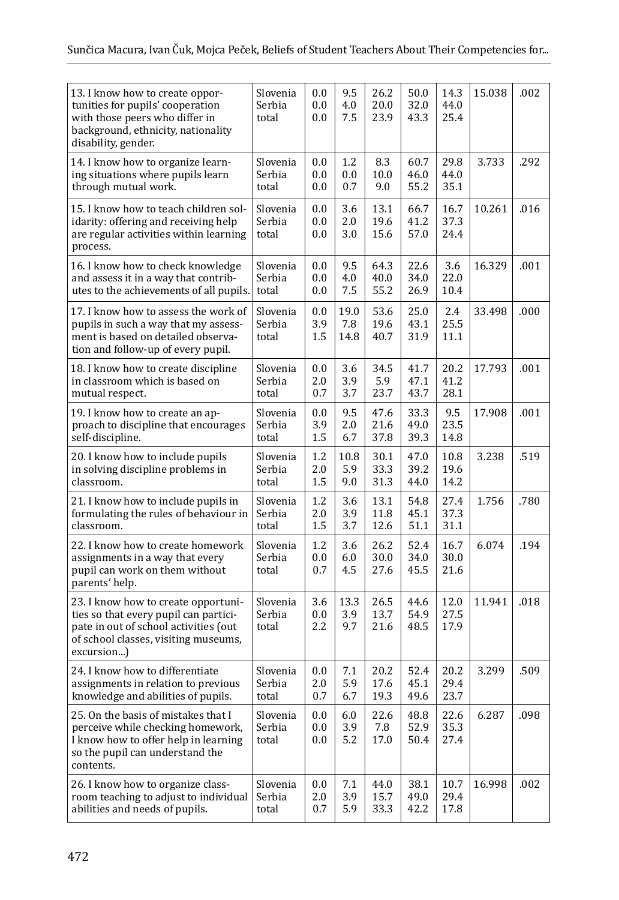| 13. I know how to create oppor-<br>tunities for pupils' cooperation<br>with those peers who differ in<br>background, ethnicity, nationality<br>disability, gender.          | Slovenia<br>Serbia<br>total | 0.0<br>0.0<br>0.0     | 9.5<br>4.0<br>7.5     | 26.2<br>20.0<br>23.9 | 50.0<br>32.0<br>43.3 | 14.3<br>44.0<br>25.4 | 15.038 | .002 |
|-----------------------------------------------------------------------------------------------------------------------------------------------------------------------------|-----------------------------|-----------------------|-----------------------|----------------------|----------------------|----------------------|--------|------|
| 14. I know how to organize learn-<br>ing situations where pupils learn<br>through mutual work.                                                                              | Slovenia<br>Serbia<br>total | 0.0<br>$0.0\,$<br>0.0 | 1.2<br>0.0<br>0.7     | 8.3<br>10.0<br>9.0   | 60.7<br>46.0<br>55.2 | 29.8<br>44.0<br>35.1 | 3.733  | .292 |
| 15. I know how to teach children sol-<br>idarity: offering and receiving help<br>are regular activities within learning<br>process.                                         | Slovenia<br>Serbia<br>total | $0.0\,$<br>0.0<br>0.0 | 3.6<br>2.0<br>3.0     | 13.1<br>19.6<br>15.6 | 66.7<br>41.2<br>57.0 | 16.7<br>37.3<br>24.4 | 10.261 | .016 |
| 16. I know how to check knowledge<br>and assess it in a way that contrib-<br>utes to the achievements of all pupils.                                                        | Slovenia<br>Serbia<br>total | 0.0<br>$0.0\,$<br>0.0 | 9.5<br>4.0<br>7.5     | 64.3<br>40.0<br>55.2 | 22.6<br>34.0<br>26.9 | 3.6<br>22.0<br>10.4  | 16.329 | .001 |
| 17. I know how to assess the work of<br>pupils in such a way that my assess-<br>ment is based on detailed observa-<br>tion and follow-up of every pupil.                    | Slovenia<br>Serbia<br>total | 0.0<br>3.9<br>1.5     | 19.0<br>7.8<br>14.8   | 53.6<br>19.6<br>40.7 | 25.0<br>43.1<br>31.9 | 2.4<br>25.5<br>11.1  | 33.498 | .000 |
| 18. I know how to create discipline<br>in classroom which is based on<br>mutual respect.                                                                                    | Slovenia<br>Serbia<br>total | 0.0<br>2.0<br>0.7     | 3.6<br>3.9<br>3.7     | 34.5<br>5.9<br>23.7  | 41.7<br>47.1<br>43.7 | 20.2<br>41.2<br>28.1 | 17.793 | .001 |
| 19. I know how to create an ap-<br>proach to discipline that encourages<br>self-discipline.                                                                                 | Slovenia<br>Serbia<br>total | $0.0\,$<br>3.9<br>1.5 | 9.5<br>2.0<br>6.7     | 47.6<br>21.6<br>37.8 | 33.3<br>49.0<br>39.3 | 9.5<br>23.5<br>14.8  | 17.908 | .001 |
| 20. I know how to include pupils<br>in solving discipline problems in<br>classroom.                                                                                         | Slovenia<br>Serbia<br>total | 1.2<br>2.0<br>1.5     | 10.8<br>5.9<br>9.0    | 30.1<br>33.3<br>31.3 | 47.0<br>39.2<br>44.0 | 10.8<br>19.6<br>14.2 | 3.238  | .519 |
| 21. I know how to include pupils in<br>formulating the rules of behaviour in<br>classroom.                                                                                  | Slovenia<br>Serbia<br>total | 1.2<br>2.0<br>1.5     | 3.6<br>3.9<br>3.7     | 13.1<br>11.8<br>12.6 | 54.8<br>45.1<br>51.1 | 27.4<br>37.3<br>31.1 | 1.756  | .780 |
| 22. I know how to create homework<br>assignments in a way that every<br>pupil can work on them without<br>parents' help.                                                    | Slovenia<br>Serbia<br>total | 1.2<br>0.0<br>0.7     | 3.6<br>6.0<br>4.5     | 26.2<br>30.0<br>27.6 | 52.4<br>34.0<br>45.5 | 16.7<br>30.0<br>21.6 | 6.074  | .194 |
| 23. I know how to create opportuni-<br>ties so that every pupil can partici-<br>pate in out of school activities (out<br>of school classes, visiting museums,<br>excursion) | Slovenia<br>Serbia<br>total | 3.6<br>$0.0\,$<br>2.2 | 13.3<br>3.9<br>9.7    | 26.5<br>13.7<br>21.6 | 44.6<br>54.9<br>48.5 | 12.0<br>27.5<br>17.9 | 11.941 | .018 |
| 24. I know how to differentiate<br>assignments in relation to previous<br>knowledge and abilities of pupils.                                                                | Slovenia<br>Serbia<br>total | $0.0\,$<br>2.0<br>0.7 | 7.1<br>5.9<br>6.7     | 20.2<br>17.6<br>19.3 | 52.4<br>45.1<br>49.6 | 20.2<br>29.4<br>23.7 | 3.299  | .509 |
| 25. On the basis of mistakes that I<br>perceive while checking homework,<br>I know how to offer help in learning<br>so the pupil can understand the<br>contents.            | Slovenia<br>Serbia<br>total | 0.0<br>0.0<br>0.0     | 6.0<br>3.9<br>5.2     | 22.6<br>7.8<br>17.0  | 48.8<br>52.9<br>50.4 | 22.6<br>35.3<br>27.4 | 6.287  | .098 |
| 26. I know how to organize class-<br>room teaching to adjust to individual<br>abilities and needs of pupils.                                                                | Slovenia<br>Serbia<br>total | 0.0<br>2.0<br>0.7     | $7.1\,$<br>3.9<br>5.9 | 44.0<br>15.7<br>33.3 | 38.1<br>49.0<br>42.2 | 10.7<br>29.4<br>17.8 | 16.998 | .002 |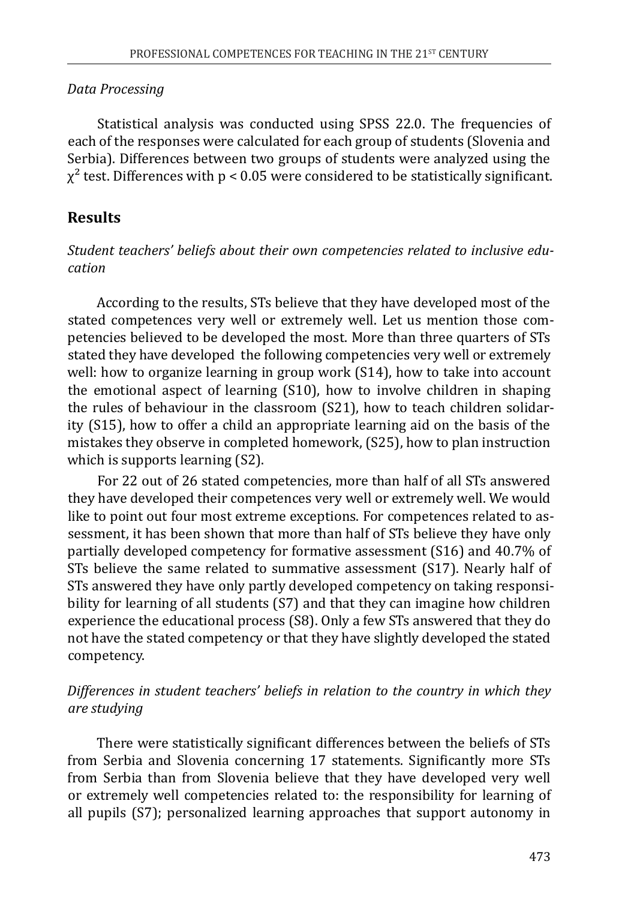#### *Data Processing*

Statistical analysis was conducted using SPSS 22.0. The frequencies of each of the responses were calculated for each group of students (Slovenia and Serbia). Differences between two groups of students were analyzed using the  $\chi^2$  test. Differences with p < 0.05 were considered to be statistically significant.

### **Results**

#### *Student teachers' beliefs about their own competencies related to inclusive education*

According to the results, STs believe that they have developed most of the stated competences very well or extremely well. Let us mention those competencies believed to be developed the most. More than three quarters of STs stated they have developed the following competencies very well or extremely well: how to organize learning in group work (S14), how to take into account the emotional aspect of learning (S10), how to involve children in shaping the rules of behaviour in the classroom (S21), how to teach children solidarity (S15), how to offer a child an appropriate learning aid on the basis of the mistakes they observe in completed homework, (S25), how to plan instruction which is supports learning (S2).

For 22 out of 26 stated competencies, more than half of all STs answered they have developed their competences very well or extremely well. We would like to point out four most extreme exceptions. For competences related to assessment, it has been shown that more than half of STs believe they have only partially developed competency for formative assessment (S16) and 40.7% of STs believe the same related to summative assessment (S17). Nearly half of STs answered they have only partly developed competency on taking responsibility for learning of all students (S7) and that they can imagine how children experience the educational process (S8). Only a few STs answered that they do not have the stated competency or that they have slightly developed the stated competency.

#### *Differences in student teachers' beliefs in relation to the country in which they are studying*

There were statistically significant differences between the beliefs of STs from Serbia and Slovenia concerning 17 statements. Significantly more STs from Serbia than from Slovenia believe that they have developed very well or extremely well competencies related to: the responsibility for learning of all pupils (S7); personalized learning approaches that support autonomy in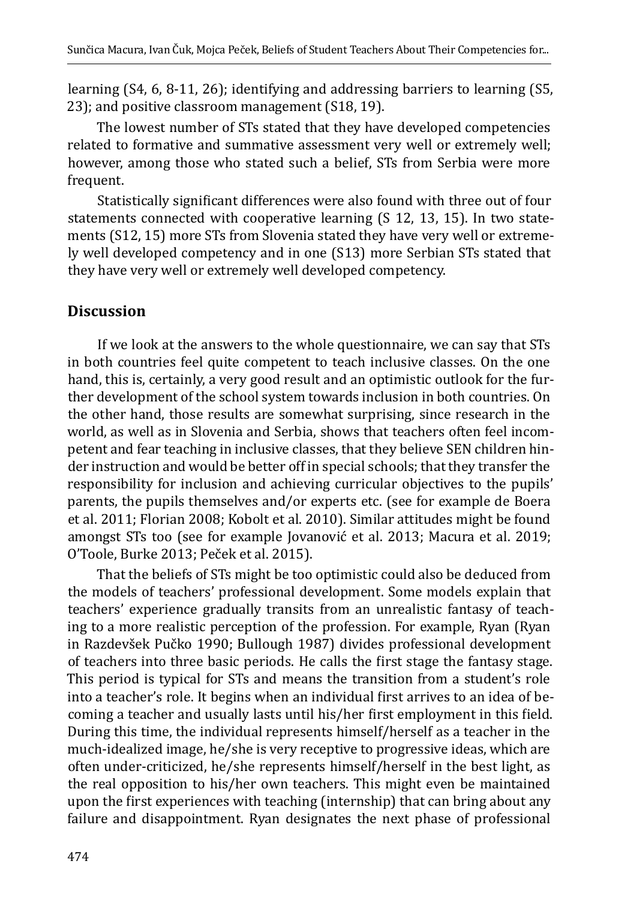learning (S4, 6, 8-11, 26); identifying and addressing barriers to learning (S5, 23); and positive classroom management (S18, 19).

The lowest number of STs stated that they have developed competencies related to formative and summative assessment very well or extremely well; however, among those who stated such a belief, STs from Serbia were more frequent.

Statistically significant differences were also found with three out of four statements connected with cooperative learning (S 12, 13, 15). In two statements (S12, 15) more STs from Slovenia stated they have very well or extremely well developed competency and in one (S13) more Serbian STs stated that they have very well or extremely well developed competency.

## **Discussion**

If we look at the answers to the whole questionnaire, we can say that STs in both countries feel quite competent to teach inclusive classes. On the one hand, this is, certainly, a very good result and an optimistic outlook for the further development of the school system towards inclusion in both countries. On the other hand, those results are somewhat surprising, since research in the world, as well as in Slovenia and Serbia, shows that teachers often feel incompetent and fear teaching in inclusive classes, that they believe SEN children hinder instruction and would be better off in special schools; that they transfer the responsibility for inclusion and achieving curricular objectives to the pupils' parents, the pupils themselves and/or experts etc. (see for example de Boera et al. 2011; Florian 2008; Kobolt et al. 2010). Similar attitudes might be found amongst STs too (see for example Jovanović et al. 2013; Macura et al. 2019; O'Toole, Burke 2013; Peček et al. 2015).

That the beliefs of STs might be too optimistic could also be deduced from the models of teachers' professional development. Some models explain that teachers' experience gradually transits from an unrealistic fantasy of teaching to a more realistic perception of the profession. For example, Ryan (Ryan in Razdevšek Pučko 1990; Bullough 1987) divides professional development of teachers into three basic periods. He calls the first stage the fantasy stage. This period is typical for STs and means the transition from a student's role into a teacher's role. It begins when an individual first arrives to an idea of becoming a teacher and usually lasts until his/her first employment in this field. During this time, the individual represents himself/herself as a teacher in the much-idealized image, he/she is very receptive to progressive ideas, which are often under-criticized, he/she represents himself/herself in the best light, as the real opposition to his/her own teachers. This might even be maintained upon the first experiences with teaching (internship) that can bring about any failure and disappointment. Ryan designates the next phase of professional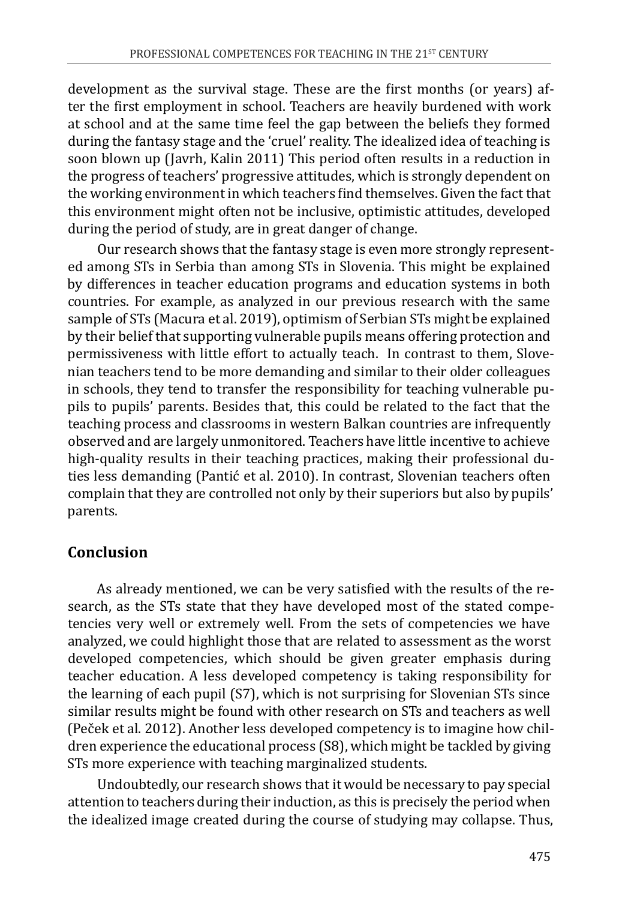development as the survival stage. These are the first months (or years) after the first employment in school. Teachers are heavily burdened with work at school and at the same time feel the gap between the beliefs they formed during the fantasy stage and the 'cruel' reality. The idealized idea of teaching is soon blown up (Javrh, Kalin 2011) This period often results in a reduction in the progress of teachers' progressive attitudes, which is strongly dependent on the working environment in which teachers find themselves. Given the fact that this environment might often not be inclusive, optimistic attitudes, developed during the period of study, are in great danger of change.

Our research shows that the fantasy stage is even more strongly represented among STs in Serbia than among STs in Slovenia. This might be explained by differences in teacher education programs and education systems in both countries. For example, as analyzed in our previous research with the same sample of STs (Macura et al. 2019), optimism of Serbian STs might be explained by their belief that supporting vulnerable pupils means offering protection and permissiveness with little effort to actually teach. In contrast to them, Slovenian teachers tend to be more demanding and similar to their older colleagues in schools, they tend to transfer the responsibility for teaching vulnerable pupils to pupils' parents. Besides that, this could be related to the fact that the teaching process and classrooms in western Balkan countries are infrequently observed and are largely unmonitored. Teachers have little incentive to achieve high-quality results in their teaching practices, making their professional duties less demanding (Pantić et al. 2010). In contrast, Slovenian teachers often complain that they are controlled not only by their superiors but also by pupils' parents.

## **Conclusion**

As already mentioned, we can be very satisfied with the results of the research, as the STs state that they have developed most of the stated competencies very well or extremely well. From the sets of competencies we have analyzed, we could highlight those that are related to assessment as the worst developed competencies, which should be given greater emphasis during teacher education. A less developed competency is taking responsibility for the learning of each pupil (S7), which is not surprising for Slovenian STs since similar results might be found with other research on STs and teachers as well (Peček et al. 2012). Another less developed competency is to imagine how children experience the educational process (S8), which might be tackled by giving STs more experience with teaching marginalized students.

Undoubtedly, our research shows that it would be necessary to pay special attention to teachers during their induction, as this is precisely the period when the idealized image created during the course of studying may collapse. Thus,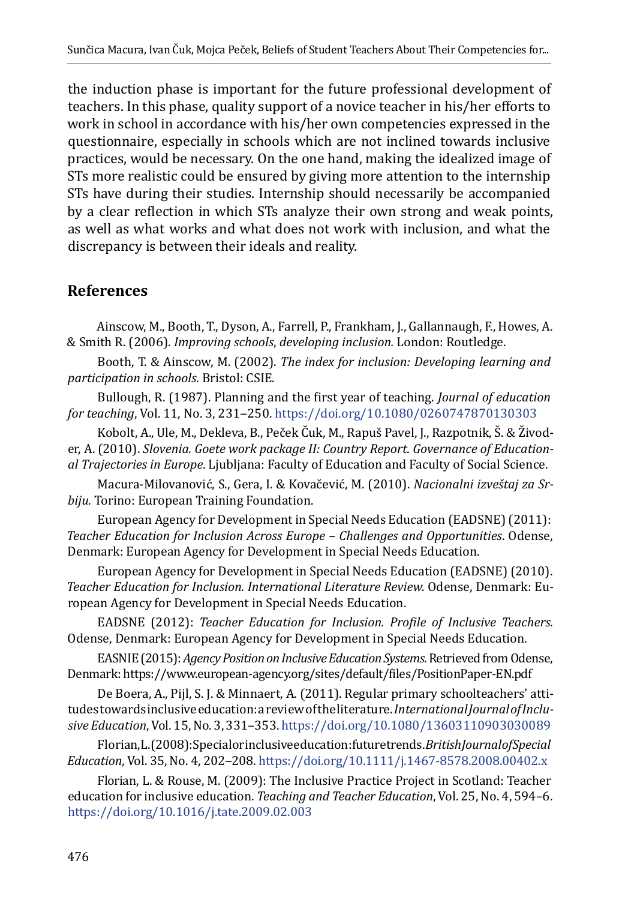the induction phase is important for the future professional development of teachers. In this phase, quality support of a novice teacher in his/her efforts to work in school in accordance with his/her own competencies expressed in the questionnaire, especially in schools which are not inclined towards inclusive practices, would be necessary. On the one hand, making the idealized image of STs more realistic could be ensured by giving more attention to the internship STs have during their studies. Internship should necessarily be accompanied by a clear reflection in which STs analyze their own strong and weak points, as well as what works and what does not work with inclusion, and what the discrepancy is between their ideals and reality.

### **References**

Ainscow, M., Booth, T., Dyson, A., Farrell, P., Frankham, J., Gallannaugh, F., Howes, A. & Smith R. (2006). *Improving schools*, *developing inclusion.* London: Routledge.

Booth, T. & Ainscow, M. (2002). *The index for inclusion: Developing learning and participation in schools*. Bristol: CSIE.

Bullough, R. (1987). Planning and the first year of teaching. *Journal of education for teaching*, Vol. 11, No. 3, 231-250.<https://doi.org/10.1080/0260747870130303>

Kobolt, A., Ule, M., Dekleva, B., Peček Čuk, M., Rapuš Pavel, J., Razpotnik, Š. & Živoder, A. (2010). *Slovenia. Goete work package II: Country Report. Governance of Educational Trajectories in Europe*. Ljubljana: Faculty of Education and Faculty of Social Science.

Macura-Milovanović, S., Gera, I. & Kovačević, M. (2010). *Nacionalni izveštaj za Srbiju.* Torino: European Training Foundation.

European Agency for Development in Special Needs Education (EADSNE) (2011): *Teacher Education for Inclusion Across Europe – Challenges and Opportunities*. Odense, Denmark: European Agency for Development in Special Needs Education.

European Agency for Development in Special Needs Education (EADSNE) (2010). *Teacher Education for Inclusion. International Literature Review.* Odense, Denmark: European Agency for Development in Special Needs Education.

EADSNE (2012): *Teacher Education for Inclusion. Profile of Inclusive Teachers.*  Odense, Denmark: European Agency for Development in Special Needs Education.

EASNIE (2015): *Agency Position on Inclusive Education Systems*. Retrieved from Odense, Denmark:<https://www.european-agency.org/sites/default/files/PositionPaper-EN.pdf>

De Boera, A., Pijl, S. J. & Minnaert, A. (2011). Regular primary schoolteachers' attitudes towards inclusive education: a review of the literature. *International Journal of Inclusive Education*, Vol. 15, No. 3, 331–353.<https://doi.org/10.1080/13603110903030089>

Florian, L. (2008): Special or inclusive education: future trends. *British Journal of Special Education*, Vol. 35, No. 4, 202‒208. <https://doi.org/10.1111/j.1467-8578.2008.00402.x>

Florian, L. & Rouse, M. (2009): The Inclusive Practice Project in Scotland: Teacher education for inclusive education. *Teaching and Teacher Education*, Vol. 25, No. 4, 594–6. <https://doi.org/10.1016/j.tate.2009.02.003>